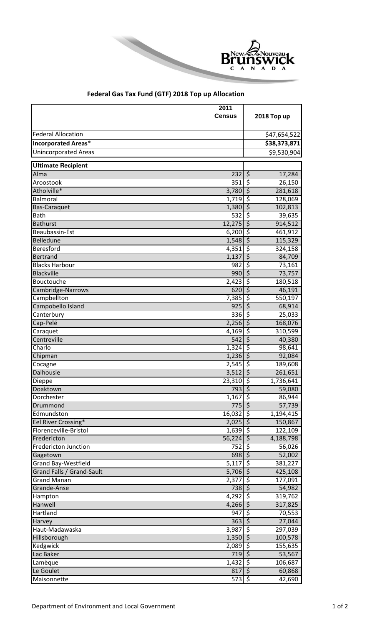

## **2011 Census 2018 Top up** Federal Allocation \$47,654,522 **Incorporated Areas**\* **\$38,373,871** Unincorporated Areas \$9,530,904 **Ultimate Recipient** Alma 232 \$ 17,284 Aroostook 351 \$ 26,150 Atholville\* 281,618 Balmoral 1,719 \$128,069 Bas-Caraquet 1,380 \$ 102,813 Bath 532 \$ 39,635 Bathurst 12,275 \$914,512 Beaubassin-Est 6,200 \$ 461,912<br>Belledune 1,548 \$ 115,329 Belledune 115,329  $\vert$  1,548  $\vert$  5  $\vert$  115,329 Beresford  $\begin{array}{ccc} 4,351 & \zeta & 324,158 \end{array}$ Bertrand 1,137  $\sim$  84,709 Blacks Harbour 1982 \$ 73,161 Blackville 990 \$ 73,757 Bouctouche 2,423 \$ 180,518  $Cambridge-Narrows$  620 \$ 46,191 Campbellton 7,385 \$ 550,197 Campobello Island 925 \$ 68,914 Canterbury 25,033 Cap-Pelé 2,256 \$ 168,076 Caraquet 2011 -  $\begin{array}{ccc} 1 & 4,169 \\ 4,169 & 5 \end{array}$  310,599 Centreville  $\sim$  40,380 Charlo 2012 - 2020 - 2021 - 2021 - 2021 - 2021 - 2022 - 2022 - 2022 - 2022 - 2022 - 2022 - 2022 - 2022 - 2022 - 20 Chipman 1,236 \$ 92,084 Cocagne 2,545  $\vert$  2,545  $\vert$  39,608 Dalhousie  $\begin{array}{|c|c|c|c|c|c|}\n\hline\n3,512 & \text{S} & 261,651 \\
\hline\n\end{array}$ Dieppe 23,310  $\sim$  23,310  $\sim$  23,310  $\sim$  23,310 Doaktown 793 \$ 59,080  $D$ orchester  $3,167$  \$  $86,944$ Drummond  $\overline{775}$  \$ 57,739 Edmundston 16,032 \$ 1,194,415 Eel River Crossing\* 2,025 \$150,867 Florenceville-Bristol 1,639 \$ 122,109 **Fredericton** 56,224 \$4,188,798 Fredericton Junction 752 \$ 56,026 Gagetown 698 \$ 52,002 Grand Bay-Westfield 5,117 \$ 381,227 Grand Falls / Grand-Sault  $\begin{array}{ccc} 5,706 & 25,108 \\ 2,108 & 5,706 \end{array}$ Grand Manan 2,377 \$ 177,091 Grande-Anse 738 \$ 54,982<br>Hampton 4,292 \$ 319,762 Hampton 4,292 \$ 319,762 Hanwell 1996 - 1997 - 1998 - 1999 - 1999 - 1999 - 1999 - 1999 - 1999 - 1999 - 1999 - 1999 - 1999 - 1999 - 199 Hartland 947 \$ 70,553 Harvey 363 \$ 27,044 Haut-Madawaska 3,987 \$ 297,039 Hillsborough 1,350 \$ 100,578 Kedgwick 2,089 \$155,635 Lac Baker 719  $\sim$  53,567 Lamèque 1,432 \$ 106,687 Le Goulet  $\begin{array}{|c|c|c|c|c|c|}\hline \rule{0pt}{12pt} & & & 817 & \zeta \end{array} \hspace{1cm}$  60,868 Maisonnette  $\begin{array}{ccc} 573 & 5 & 42,690 \end{array}$

## **Federal Gas Tax Fund (GTF) 2018 Top up Allocation**